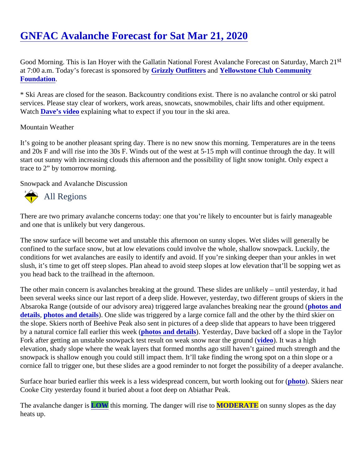Good Morning. This is Ian Hoyer with the Gallatin National Forest Avalanche Forecast on Saturday, March 21 at 7:00 a.m. Today's forecast is sponsore **Gbyzly Outfitters** and [Yellowstone Club Community](http://yellowstoneclubfoundation.org/) [Foundation](http://yellowstoneclubfoundation.org/).

\* Ski Areas are closed for the season. Backcountry conditions exist. There is no avalanche control or ski patro services. Please stay clear of workers, work areas, snowcats, snowmobiles, chair lifts and other equipment. Watc[h Dave's video](https://youtu.be/EUtgi0g1l9g) explaining what to expect if you tour in the ski area.

## Mountain Weather

It's going to be another pleasant spring day. There is no new snow this morning. Temperatures are in the teen and 20s F and will rise into the 30s F. Winds out of the west at 5-15 mph will continue through the day. It will start out sunny with increasing clouds this afternoon and the possibility of light snow tonight. Only expect a trace to 2" by tomorrow morning.

Snowpack and Avalanche Discussion

## All Regions

There are two primary avalanche concerns today: one that you're likely to encounter but is fairly manageable and one that is unlikely but very dangerous.

The snow surface will become wet and unstable this afternoon on sunny slopes. Wet slides will generally be confined to the surface snow, but at low elevations could involve the whole, shallow snowpack. Luckily, the conditions for wet avalanches are easily to identify and avoid. If you're sinking deeper than your ankles in wet slush, it's time to get off steep slopes. Plan ahead to avoid steep slopes at low elevation that'll be sopping we you head back to the trailhead in the afternoon.

The other main concern is avalanches breaking at the ground. These slides are unlikely – until yesterday, it h been several weeks since our last report of a deep slide. However, yesterday, two different groups of skiers in Absaroka Range (outside of our advisory area) triggered large avalanches breaking near the ground (d [details](https://www.mtavalanche.com/node/22486), [photos and details](https://www.mtavalanche.com/node/22491). One slide was triggered by a large cornice fall and the other by the third skier on the slope. Skiers north of Beehive Peak also sent in pictures of a deep slide that appears to have been trigge by a natural cornice fall earlier this weeth otos and details. Yesterday, Dave backed off a slope in the Taylor Fork after getting an unstable snowpack test result on weak snow near the [groun](https://www.youtube.com/watch?v=PLgEkwzjb88&list=PLXu5151nmAvSbcbVfoR785MxkqkNVy8Pp&index=2&t=0s)d of was a high elevation, shady slope where the weak layers that formed months ago still haven't gained much strength and snowpack is shallow enough you could still impact them. It'll take finding the wrong spot on a thin slope or a cornice fall to trigger one, but these slides are a good reminder to not forget the possibility of a deeper avalan

Surface hoar buried earlier this week is a less widespread concern, but worth lookin[g out fo](https://www.mtavalanche.com/images/20/surface-hoar-near-buck-ridge)r Skiers near Cooke City yesterday found it buried about a foot deep on Abiathar Peak.

The avalanche dangerLOW this morning. The danger will rise **MODERATE** on sunny slopes as the day heats up.